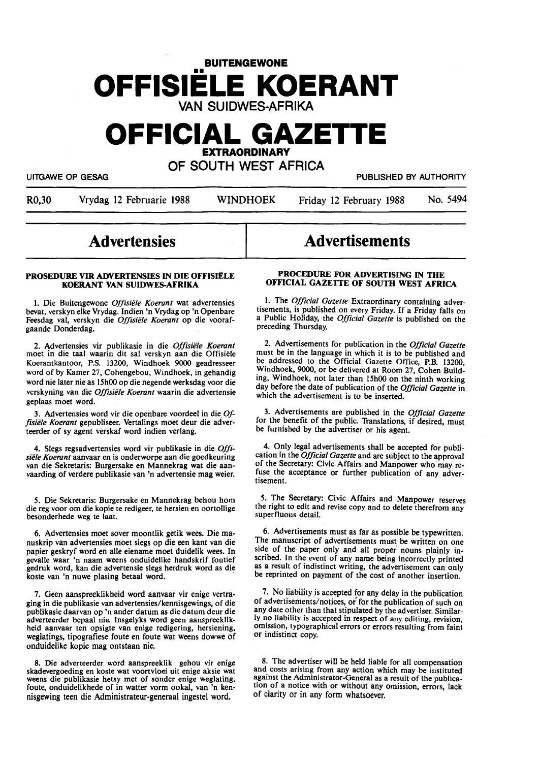## **BUITENGEWONE OFFISIELE KOERANT**

VAN SUIDWES-AFRIKA

## **OFFICIAL GAZETTE EXTRAORDINARY**

OF SOUTH WEST AFRICA

UITGAWE OP GESAG PUBLISHED BY AUTHORITY

R0,30 Vrydag 12 Februarie 1988 WINDHOEK Friday 12 February 1988 No. 5494

## **Advertensies**

#### **PROSEDURE VIR ADVERTENSIES** IN **DIE OFFISIELE KOERANT VAN SUIDWES-AFRIKA**

1. Die Buitengewone *Offisiele Koerant* wat advertensies bevat, verskyn eike Vrydag. Indien 'n Vrydag op 'n Openbare Feesdag val, verskyn die *Offisiele Koerant* op die voorafgaande Donderdag.

2. Advertensies vir publikasie in die *Offzsiele Koerant*  moet in die taal waarin dit sal verskyn aan die Offisiele Koerantkantoor, P.S. 13200, Windhoek 9000 geadresseer word of by Kamer 27, Cohengebou, Windhoek, in gehandig word nie later nie as 15h00 op die negende werksdag voor die verskyning van die *Offisiele Koerant* waarin die advertensie geplaas moet word.

3. Advertensies word vir die openbare voordeel in die\_ *Offisiele Koerant* gepubliseer. Vertalings moet deur die adverteerder of sy agent verskaf word indien verlang.

4. Slegs regsadvertensies word vir publikasie in die *Offisiele Koerant* aanvaar en is onderworpe aan die goedkeuring van die Sekretaris: Burgersake en Mannekrag wat die aanvaarding of **verdere** publikasie van 'n advertensie **mag** weier.

*5.* Die Sekretaris: Burgersake en Mannekrag behou horn die reg voor om die kopie te redigeer, te hersien en oortollige besonderhede weg te laat.

6. Advertensies moet sover moontlik getik wees. Die manuskrip van advertensies moet slegs op die een kant van die papier geskryf word en alle eiename moet duidelik wees. In gevalle waar 'n naam weens onduidelike handskrif foutief **gedruk** word, kan die advertensie slegs herdruk word as die koste van 'n nuwe plasing betaal word.

7. Geen aanspreeklikheid word aanvaar vir enige vertra**ging** in die publikasie van advertensies/kennisgewings, of die publikasie daarvan op 'n ander datum as die datum deur die adverteerder bepaal nie. Insgelyks word geen aanspreeklikheid aanvaar ten opsigte van enige redigering, hersiening, weglatings, tipografiese foute en foute wat weens dowwe of onduidelike kopie mag ontstaan nie.

8. Die adverteerder word aanspreeklik gehou vir enige skadevergoeding en koste **wat voortvloei** uit enige aksie **wat**  weens die publikasie hetsy met of sonder enige weglating, foute. onduidelikhede of in watter vorm ookal, van 'n kennisgewing teen die Administrateur-generaal ingestel word.

# Advertisements

#### **PROCfflURE FOR ADVERTISING** IN **THE OFFICIAL GAZETTE OF SOUTH WEST AFRICA**

1. The *Official Gazette* Extraordinary containing advertisements, is published on every Friday. If a Friday falls on a Public Holiday, the *Official Gazette* is published on the preceding Thursday.

2. Advertisements for publication in the *Official Gazette*  must be in the language in which it is to be published and be addressed to the Official Gazette Office, P.B. 13200, Windhoek, 9000, or be delivered at Room 27, Cohen Building, Windhoek, not later than 15h00 on the ninth working day before the date of publication of the *Official Gazette* in which the advertisement is to be inserted.

3. Advertisements are published in the *Official Gazette*  for the benefit of the public. Translations, if desired, must be furnished by the advertiser or his agent.

4. Only **legal** advertisements shall be accepted for publication in the *Official Gazette* and are subject to the approval of the Secretary: Civic Affairs and Manpower who may refuse the acceptance or further publication of any advertisement.

*5.* The **Secretary:** Civic Affairs and Manpower reserves the right to edit and revise copy and to delete therefrom any superfluous detail.

6. Advertisements must as far as possible be typewritten. The manuscript of advertisements must be written on one side of the paper only and all proper nouns plainly in**scnbed.** In the event of **any name** being incorrectly printed as a result of indistinct writing, the advertisement can only be reprinted on payment of the cost of another insertion.

7. No liability is accepted for any delay in the publication of advertisements/notices, *oi* for the publication of such on **any** date other than that **stipulated** by the advertiser. Similarly no liability is accepted in respect of any editing, revision, omission, typographical errors or errors resulting from faint or indistinct copy.

8. The advertiser will be held liable for all compensation and costs arising from any action which may be instituted against the Administrator-General as a result of the publication of a notice with or without any omission, errors, lack of clarity or in any form whatsoever.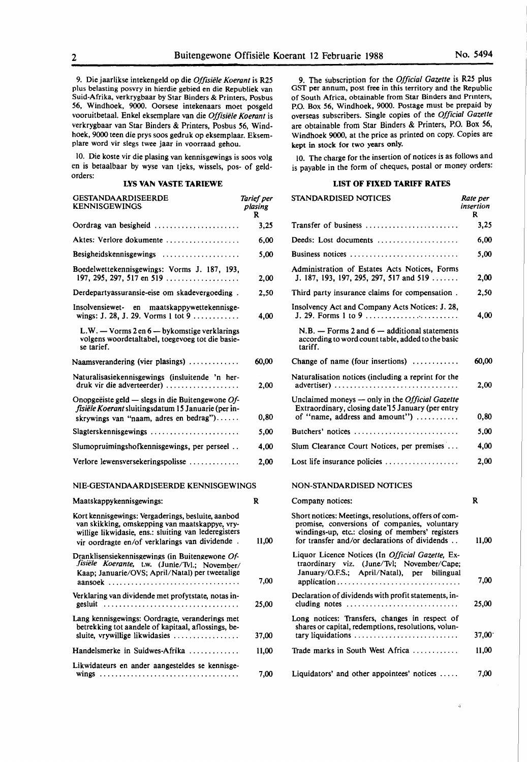9. Die jaarlikse intekengeld op die *Offisiele Koerant* is R25 plus belasting posvry in hierdie gebied en die Republiek van Suid-Afrika, verkrygbaar by Star Binders & Printers, Posbus 56, Windhoek, 9000. Oorsese intekenaars moet posgeld vooruitbetaal. Enke! eksemplare van die *Offisiele Koerant* is verkrygbaar van Star Binders & Printers, Posbus 56, Windhoek, 9000 teen die prys soos gedruk op eksemplaar. Eksemplare word vir slegs twee jaar in voorraad gehou.

10. Die koste vir die plasing van kennisgewings is soos volg en is betaalbaar by wyse van tjeks, wissels, pos- of geldorders:

#### **LYS VAN VASTE TARIEWE**

| <b>GESTANDAARDISEERDE</b><br><b>KENNISGEWINGS</b>                                                                                                                                                              | Tarief per<br>plasing<br>R |
|----------------------------------------------------------------------------------------------------------------------------------------------------------------------------------------------------------------|----------------------------|
| Oordrag van besigheid                                                                                                                                                                                          | 3,25                       |
| Aktes: Verlore dokumente                                                                                                                                                                                       | 6,00                       |
|                                                                                                                                                                                                                | 5,00                       |
| Boedelwettekennisgewings: Vorms J. 187, 193,<br>197, 295, 297, 517 en 519                                                                                                                                      | 2,00                       |
| Derdepartyassuransie-eise om skadevergoeding.                                                                                                                                                                  | 2,50                       |
| Insolvensiewet- en maatskappywettekennisge-<br>wings: J. 28, J. 29. Vorms 1 tot 9                                                                                                                              | 4,00                       |
| L.W. - Vorms 2 en 6 - bykomstige verklarings<br>volgens woordetaltabel, toegevoeg tot die basie-<br>se tarief.                                                                                                 |                            |
| Naamsverandering (vier plasings)                                                                                                                                                                               | 60,00                      |
| Naturalisasiekennisgewings (insluitende 'n her-<br>druk vir die adverteerder)                                                                                                                                  | 2,00                       |
| Onopgeëiste geld — slegs in die Buitengewone $Of$ -<br>fisiële Koerant sluitingsdatum 15 Januarie (per in-<br>skrywings van "naam, adres en bedrag")                                                           | 0,80                       |
| Slagterskennisgewings                                                                                                                                                                                          | 5,00                       |
| Slumopruimingshofkennisgewings, per perseel                                                                                                                                                                    | 4,00                       |
| Verlore lewensversekeringspolisse                                                                                                                                                                              | 2,00                       |
| NIE-GESTANDAARDISEERDE KENNISGEWINGS                                                                                                                                                                           |                            |
| Maatskappykennisgewings:                                                                                                                                                                                       | R                          |
| Kort kennisgewings: Vergaderings, besluite, aanbod<br>van skikking, omskepping van maatskappye, vry-<br>willige likwidasie, ens.: sluiting van lederegisters<br>vir oordragte en/of verklarings van dividende. | 11.00                      |
| Dranklisensiekennisgewings (in Buitengewone Of-<br>fisiële Koerante, t.w. (Junie/Tvl.; November/<br>Kaap; Januarie/OVS; April/Natal) per tweetalige<br>aansoek                                                 | 7,00                       |
| Verklaring van dividende met profytstate, notas in-<br>gesluit                                                                                                                                                 | 25,00                      |
| Lang kennisgewings: Oordragte, veranderings met<br>betrekking tot aandele of kapitaal, aflossings, be-                                                                                                         |                            |
| sluite, vrywillige likwidasies                                                                                                                                                                                 | 37,00                      |
| Handelsmerke in Suidwes-Afrika                                                                                                                                                                                 | 11,00                      |

Likwidateurs en ander aangesteldes se kennisge-

wings . . . . . . . . . . . . . . . . . . . . . . . . . . . . . . . . . . . . 7,00

9. The subscription for the *Official Gazette* is R25 plus GST per annum, post free in this territory and the Republic of South Africa, obtainable from Star Binders and Printers, P.O. Box 56, Windhoek, 9000. Postage must be prepaid by overseas subscribers. Single copies of the *Official Gazette*  are obtainable from Star Binders & Printers, P.O. Box 56, Windhoek 9000, at the price as printed on copy. Copies are kept in stock for two years only.

10. The charge for the insertion of notices is as follows and is payable in the form of cheques, postal or money orders:

#### **LIST OF FIXED TARIFF RATES**

| STANDARDISED NOTICES                                                                                                                                                                                      | Rate per<br>insertion<br>R |
|-----------------------------------------------------------------------------------------------------------------------------------------------------------------------------------------------------------|----------------------------|
| Transfer of business                                                                                                                                                                                      | 3,25                       |
| Deeds: Lost documents                                                                                                                                                                                     | 6,00                       |
| Business notices                                                                                                                                                                                          | 5,00                       |
| Administration of Estates Acts Notices, Forms<br>J. 187, 193, 197, 295, 297, 517 and 519                                                                                                                  | 2,00                       |
| Third party insurance claims for compensation.                                                                                                                                                            | 2,50                       |
| Insolvency Act and Company Acts Notices: J. 28,<br>J. 29. Forms 1 to 9                                                                                                                                    | 4,00                       |
| $N.B.$ - Forms 2 and 6 - additional statements<br>according to word count table, added to the basic<br>tariff.                                                                                            |                            |
| Change of name (four insertions) $\dots\dots\dots\dots$                                                                                                                                                   | 60,00                      |
| Naturalisation notices (including a reprint for the<br>advertiser)                                                                                                                                        | 2,00                       |
| Unclaimed moneys - only in the Official Gazette<br>Extraordinary, closing date 15 January (per entry<br>of "name, address and amount")                                                                    | 0,80                       |
| Butchers' notices                                                                                                                                                                                         | 5,00                       |
| Slum Clearance Court Notices, per premises                                                                                                                                                                | 4,00                       |
| Lost life insurance policies                                                                                                                                                                              | 2,00                       |
| NON-STANDARDISED NOTICES                                                                                                                                                                                  |                            |
| Company notices:                                                                                                                                                                                          | R                          |
| Short notices: Meetings, resolutions, offers of com-<br>promise, conversions of companies, voluntary<br>windings-up, etc.: closing of members' registers<br>for transfer and/or declarations of dividends | 11,00                      |
| Liquor Licence Notices (In Official Gazette, Ex-<br>traordinary viz. (June/Tvl; November/Cape;<br>January/O.F.S.; April/Natal), per bilingual                                                             | 7,00                       |
| Declaration of dividends with profit statements, in-<br>cluding notes                                                                                                                                     | 25,00                      |
| Long notices: Transfers, changes in respect of<br>shares or capital, redemptions, resolutions, volun-<br>tary liquidations                                                                                | $37,00^{\circ}$            |
| Trade marks in South West Africa                                                                                                                                                                          | 11.00                      |
| Liquidators' and other appointees' notices                                                                                                                                                                | 7,00                       |

ú,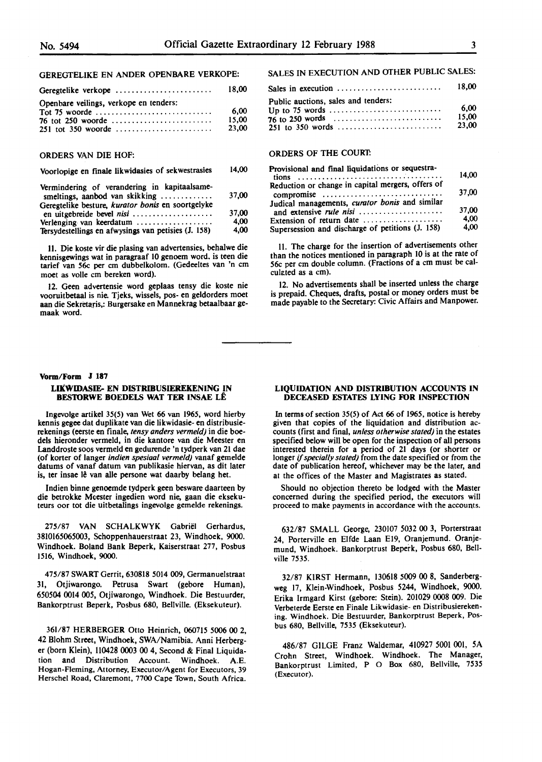### GEREGTELIKE EN ANDER OPENBARE VERKOPE:

| Geregtelike verkope                    | 18.00                  |
|----------------------------------------|------------------------|
| Openbare veilings, verkope en tenders: | 6.00<br>15.00<br>23.00 |

#### ORDERS VAN DIE HOF:

#### Voorlopige en finale likwidasies of sekwestrasies 14,00

| Vermindering of verandering in kapitaalsame-<br>smeltings, aanbod van skikking | 37.00 |
|--------------------------------------------------------------------------------|-------|
| Geregtelike besture, kurator bonis en soortgelyke                              |       |
| en uitgebreide bevel nisi                                                      | 37.00 |
| Verlenging van keerdatum                                                       | 4.00  |
| Tersydestellings en afwysings van petisies (J. 158)                            | 4,00  |

11. Die koste vir die plasing van advertensies, behalwe die kennisgewings wat in paragraaf 10 genoem word. is teen die tarief van 56c per cm dubbelkolom. (Gedeeltes van 'n cm moet as voile cm bereken word).

12. Geen advertensie word geplaas tensy die koste nie vooruitbetaal is nie. Tjeks, wissels, pos- en geldorders moet aan die Sekretaris,: Burgersake en Mannekrag betaalbaar gemaak word.

### SALES IN EXECUTION AND OTHER PUBLIC SALES:

| Sales in execution $\ldots \ldots \ldots \ldots \ldots \ldots \ldots$ | 18.00                  |
|-----------------------------------------------------------------------|------------------------|
| Public auctions, sales and tenders:                                   | 6.00<br>15.00<br>23.00 |

#### ORDERS OF THE COURT:

| Provisional and final liquidations or sequestra-  | 14.00 |
|---------------------------------------------------|-------|
|                                                   |       |
| Reduction or change in capital mergers, offers of | 37,00 |
| compromise                                        |       |
| Judical managements, curator bonis and similar    |       |
| and extensive rule nisi                           | 37.00 |
| Extension of return date                          | 4.00  |
| Supersession and discharge of petitions (J. 158)  | 4.00  |

11. The charge for the insertion of advertisements other than the notices mentioned in paragraph 10 is at the rate of 56c per cm double column. (Fractions of a cm must be calculated as a cm).

12. No advertisements shall be inserted unless the charge is prepaid. Cheques, drafts, postal or money orders must be made payable to the Secretary: Civic Affairs and Manpower.

#### **Vorm/Form J 187 LIKWIDASIE- EN DISTRIBUSIEREKENING IN BES10RWE BOEDELS WAT TER INSAE LE**

lngevolge artikel 35(5) van Wet 66 van 1965, word hierby kennis gegee dat duplikate van die likwidasie- en distribusierekenings (eerste en finale, *tensy anders vermeld)* in die boedels hieronder vermeld, in die kantore van die Meester en Landdroste soos vermeld en gedurende 'n tydperk van 21 **dae**  (of korter of langer *indien spesiaal vermeld)* vanaf gemelde datums of vanaf datum van publikasie hiervan, as dit later is, ter insae lê van alle persone wat daarby belang het.

lndien binne genoemde tydperk geen besware daarteen by die betrokke Meester ingedien word nie, gaan die eksekuteurs oor tot die uitbetalings ingevolge gemelde rekenings.

275/87 VAN SCHALKWYK Gabriel Gerhardus, 3810165065003, Schoppenhauerstraat 23, Windhoek, 9000. Windhoek. Boland Bank Beperk, Kaiserstraat 277, Posbus 1516, Windhoek, 9000.

475/87 **SWART** Gerrit, 630818 5014 009, Germanuelstraat 31, Otjiwarongo. Petrusa Swart (gebore Human), 650504 0014 005, Otjiwarongo, Windhoek. Die Bestuurder, Bankorptrust Beperk, Posbus 680, Bellville. (Eksekuteur).

361/87 HERBERGER Otto Heinrich, 060715 5006 00 2, 42 Blohm Street, Windhoek, SWA/Namibia. Anni Herberger (born Klein), 110428 0003 **00** 4, Second & Final Liquidation and Distribution Account. Windhoek. A.E. Hogan-Fleming, Attorney, Executor/Agent for Executors, 39 Herschel Road, Claremont, 7700 Cape Town, South Africa.

#### **LIQUIDATION AND DISTRIBUTION ACCOUNTS IN**  DECEASED ESTATES LYING FOR INSPECTION

In terms of section 35(5) of Act 66 of 1965, notice is hereby given that copies of the liquidation and distribution accounts (first and final, *unless otherwise stated)* in the estates specified below will be open for the inspection of all persons interested therein for a period of 21 days (or shorter or longer if *specially stated)* from the date specified or from the date of publication hereof, whichever may be the later, and at the offices of the Master and Magistrates as stated.

Should no objection thereto be lodged with the Master concerned during the specified period, the executors will proceed to **make** payments in accordance with the accounts.

632/87 SMALL George, 230107 5032 00 3, Porterstraat 24, Porterville en Elfde Laan El9, Oranjemund. Oranjemund, Windhoek. Bankorptrust Beperk, Posbus 680, Bellville 7535.

32/87 KIRST Hermann, 130618 5009 00 8, Sanderberg**weg** 17, Klein-Windhoek, Posbus 5244, Windhoek, 9000. Erika Irmgard Kirst (gebore: Stein). 201029 0008 009. Die Verbeterde Eerste en Finale Likwidasie- en Distribusiereken**ing.** Windhoek. Die Bestuurder, Bankorptrust Beperk, Posbus 680, Bellville, 7535 (Eksekuteur).

486/87 GILGE Franz Waldemar, 410927 5001 001, **5A**  Crohn Street, Windhoek. Windhoek. The Manager, Bankorptrust Limited, P O Box 680, Bellville, 7535 (Executor).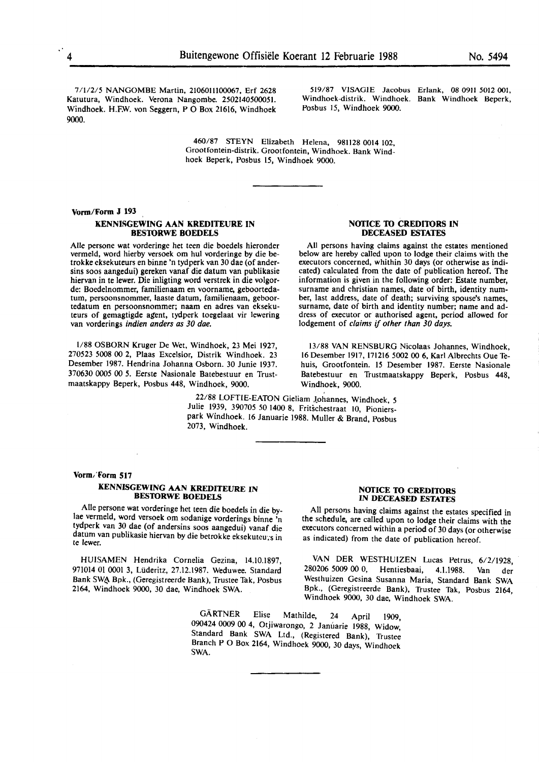7/1/2/5 NANGOMBE Martin, 21060lll00067, Erf 2628 Katutura, Windhoek. Verona Nangombe. 2502140500051. Windhoek. H.FW. von Seggern, PO Box 21616, Windhoek 9000.

519/87 VISAGIE Jacobus Erlank, 08 0911 5012 001, Windhoek-distrik. Windhoek. Bank Windhoek Beperk, Posbus 15, Windhoek 9000.

460/87 STEYN Elizabeth Helena, 981128 0014 102, Grootfontein-distrik. Grootfontein, Windhoek. Bank Windhoek Beperk, Posbus 15, Windhoek 9000.

#### **Vonn/Fonn J 193**

#### **KENNISGEWING AAN KREDITEURE IN BES10RWE BOEDELS**

Alie persone wat vorderinge het teen die boedels hieronder vermeld, word hierby versoek om hul vorderinge by die betrokke eksekuteurs en binne 'n tydperk van 30 dae (of andersins soos aangedui) gereken vanaf die datum van publikasie hiervan in te lewer. Die inligting word verstrek in die volgorde: Boedelnommer, familienaam en voorname, geboortedatum, persoonsnommer, laaste datum, familienaam, geboortedatum en persoonsnommer; naam en adres van eksekuteurs of gemagtigde agent, tydperk toegelaat vir lewering van vorderings indien anders as 30 dae.

1/88 OSBORN Kruger De Wet, Windhoek, 23 Mei 1927, 270523 5008 00 2, Plaas Excelsior, Distrik Windhoek. 23 Desember 1987. Hendrina Johanna Osborn. 30 Junie 1937. 370630 0005 00 *5.* Eerste Nasionale Batebestuur en Trustmaatskappy Beperk, Posbus 448, Windhoek, 9000.

> 22/88 LOFTIE-EA10N Gieliam Lohannes, Windhoek, *5*  Julie 1939, 390705 *50* 1400 8, Fritschestraat 10, Pionierspark Windhoek. 16 Januarie 1988. Muller & Brand, Posbus 2073, Windhoek.

#### **Vorm/Form 517**

#### **KENNISGEWING AAN KREDITEURE IN BES10RWE BOEDELS**

Alie persone wat vorderinge het teen die boedels in die bylae vermeld, word versoek om sodanige vorderings binne 'n tydperk van 30 dae (of andersins soos aangedui) vanaf die datum van publikasie hiervan by die betrokke eksekuteurs in te lewer.

HUISAMEN Hendrika Cornelia Gezina, 14.10.1897, 971014 01 0001 3, Lüderitz, 27.12.1987. Weduwee. Standard Bank SWA Bpk., (Geregistreerde Bank), Trustee Tak, Posbus 2164, Windhoek 9000, 30 dae, Windhoek SWA.

> GARTNER Elise Mathilde, 24 April 1909, 090424 0009 00 4, Otjiwarongo, 2 Januarie 1988, Widow, Standard Bank SWA Ltd., (Registered Bank), Trustee Branch P O Box 2164, Windhoek 9000, 30 days, Windhoek **SWA.**

#### **NOTICE 10 CREDl10RS IN DECEASED ESTATES**

All persons having claims against the estates specified in the schedule, are called upon to lodge their claims with the executors concerned within a period of 30 days (or otherwise as indicated) from the date of publication hereof.

VAN DER WESTHUIZEN Lucas Petrus, 6/2/1928, 280206 5009 00 0, Hentiesbaai, 4.1.1988. Van der Westhuizen Gesina Susanna Maria, Standard Bank SWA Bpk., (Geregistreerde Bank), Trustee Tak, Posbus 2164, Windhoek 9000, 30 dae, Windhoek **SWA.** 

#### **NOTICE TO CREDITORS IN DECEASED ESTATES**

All persons having claims against the estates mentioned below are hereby called upon to lodge their claims with the executors concerned, whithin 30 days (or otherwise as indicated) calculated from the date of publication hereof. The information is given in the following order: Estate number, surname and christian names, date of birth, identity number, last address, date of death; surviving spouse's names, surname, date of birth and identity number; name and address of executor or authorised agent, period allowed for lodgement of claims if other than 30 days.

13/88 VAN RENSBURG Nicolaas Johannes, Windhoek, 16 Desember 1917, 171216 5002 00 6, Karl Albrechts Oue Tehuis, Grootfontein. 15 Desember 1987. Eerste Nasionale Batebestuur en Trustmaatskappy Beperk, Posbus 448, Windhoek, 9000.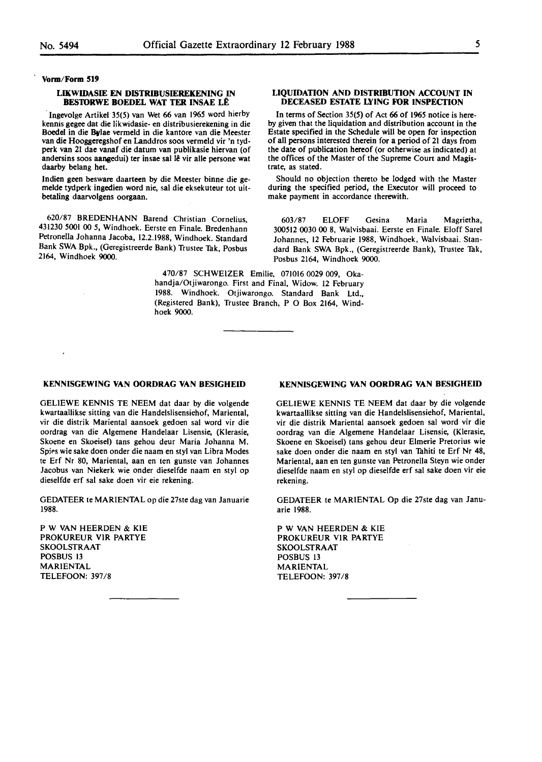**Vonn/Form 519** 

#### **LIKWIDASIE EN DISTRIBUSIEREKENING IN BESTORWE BOEDEL WAT TER INSAE LE**

Ingevolge Artikel 35(5) van Wet 66 van 1965 word hierby kennis gegee dat die likwidasie- en distribusierekening in die Boedel in die **Bvlae** vermeld in die kantore van die Meester van die Hooggeregshof en Landdros soos vermeld vir 'n tydperk van 21 dae vanaf die datum van publikasie hiervan (of andersins soos aangedui) ter insae sal le vir alle persone **wat**  daarby belang het.

Indien geen besware daarteen by die Meester binne die gemelde tydperk ingedien word nie, sal die eksekuteur tot uitbetaling daarvolgens oorgaan.

620/87 BREDENHANN Barend Christian Cornelius, 431230 5001 00 *5,* Windhoek. Eerste en Finale. Bredenhann Petronella Johanna Jacoba, 12.2.1988, Windhoek. Standard Bank SWA Bpk., (Geregistreerde Bank) Trustee Tak, Posbus 2164, Windhoek 9000.

#### **LIQUIDATION AND DISTRIBUTION ACCOUNT IN DECEASED ESTATE LYING FOR INSPECTION**

In terms of Section 35(5) of Act 66 of 1965 notice is hereby given that the liquidation and distribution account in the Estate specified in the Schedule will be open for inspection of all persons interested therein for a period of 21 days from the date of publication hereof (or otherwise as indicated) at the offices of the Master of the Supreme Court and Magistrate, as stated.

Should no objection thereto be lodged with the Master during the specified period, the Executor will proceed to make payment in accordance therewith.

603/87 ELOFF Gesina Maria Magrietha, 300512 0030 00 8, Walvisbaai. Eerste en Finale. Eloff Sare! Johannes, 12 Februarie 1988, Windhoek, Walvisbaai. Standard Bank SWA Bpk., (Geregistreerde Bank), Trustee Tak, Posbus 2164, Windhoek 9000.

470/87 SCHWEIZER Emilie, 071016 0029 009, Okahandja/Otjiwarongo. First and Final, Widow. 12 February 1988. Windhoek. Otjiwarongo. Standard Bank Ltd., (Registered Bank), Trustee Branch, P O Box 2164, Windhoek **9000.** 

#### **KENNISGEWING VAN OORDRAG VAN BESIGHEID**

GELIEWE KENNIS TE NEEM dat daar by die volgende kwartaallikse sitting van die Handelslisensiehof, Mariental, vir die distrik Mariental aansoek gedoen sal word vir die oordrag van die Algemene Handelaar Lisensie, (Klerasie, Skoene en Skoeisel) tans gehou deur Maria Johanna M. Spies wie sake doen onder die naam en styl van Libra Modes te Erf Nr 80, Mariental, aan en ten gunste van Johannes Jacobus van Niekerk wie onder dieselfde naam en sty! op dieselfde erf sat sake doen vir eie rekening.

GEDATEER te MARIENTAL op die 27ste dag van Januarie 1988.

P W **VAN** HEERDEN & KIE PROKUREUR **VIR** PARTYE SKOOLSTRAAT POSBUS 13 MARIENTAL TELEFOON: 397 /8

### **KENNISGEWING VAN OORDRAG VAN BESIGHEID**

GELIEWE KENNIS TE NEEM dat daar by die volgende kwartaallikse sitting van die Handelslisensiehof, Mariental, vir die distrik Mariental aansoek gedoen sal word vir die oordrag van die Algemene Handelaar Lisensie, (Klerasie, Skoene en Skoeisel) tans gehou deur Elmerie Pretorius wie sake doen onder die naam en sty! van Tahiti te Erf Nr 48, Mariental, aan en ten gunste van Petronella Steyn wie onder dieselfde naam en sty! op dieselfde erf sal sake doen vir eie rekening.

GEDATEER te MARIENTAL Op die 27ste dag van Januarie 1988.

P W VAN HEERDEN & KIE PROKUREUR VIR PARTYE SKOOLSTRAAT POSBUS 13 MARIENTAL TELEFOON: 397/8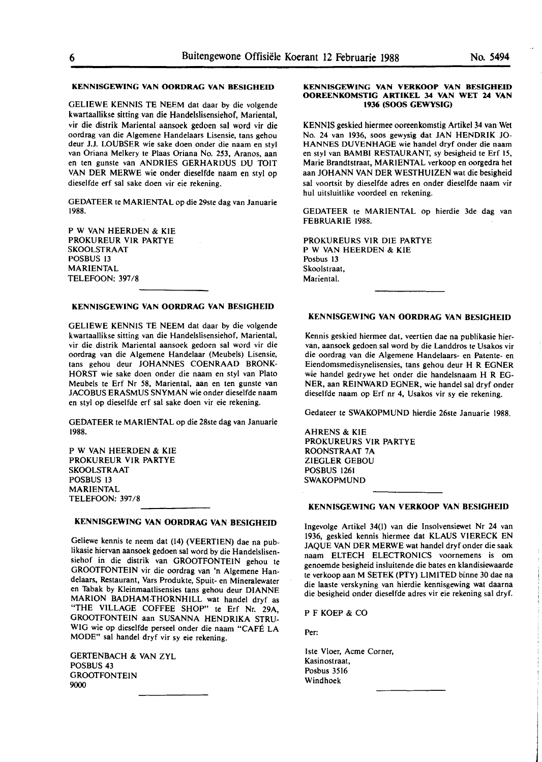#### **KENNISGEWING VAN OORDRAG VAN BESIGHEID**

GELIEWE KENNIS TE NEEM dat daar by die volgende kwartaallikse sitting van die Handelslisensiehof, Mariental, vir die distrik Mariental aansoek gedoen sal word vir die oordrag van die Algemene Handelaars Lisensie, tans gehou deur J.J. LOUBSER wie sake doen onder die naam en styl van Oriana Melkery te Plaas Oriana No. 253, Aranos, aan en ten gunste van ANDRIES GERHARDUS DU TOIT VAN DER MERWE wie onder dieselfde naam en sty! op dieselfde erf sal sake doen vir eie rekening.

GEDATEER te MARIENTAL op die 29ste dag van Januarie 1988.

P W VAN HEERDEN & **KIE**  PROKUREUR VIR PARTYE SKOOLSTRAAT POSBUS 13 MARIENTAL TELEFOON: 397/8

#### **KENNISGEWING VAN OORDRAG VAN BESIGHEID**

GELIEWE KENNIS TE NEEM dat daar by die volgende kwartaallikse sitting van die Handelslisensiehof, Mariental, vir die distrik Mariental aansoek gedoen sal word vir die oordrag van die Algemene Handelaar (Meubels) Lisensie, tans gehou deur JOHANNES COENRAAD BRONK-HORST wie sake doen onder die naam en styl van Plato Meubels te Erf Nr 58, Mariental, aan en ten gunste van JACOBUS ERASMUS SNYMAN wie onder dieselfde naam en sty! op dieselfde erf sal sake doen vir eie rekening.

GEDATEER te MARIENTAL op die 28ste dag van Januarie 1988.

P W VAN HEERDEN & **KIE**  PROKUREUR VJR PARTYE SKOOLSTRAAT POSBUS 13 MARIENTAL TELEFOON: 397 /8

### **KENNISGEWING VAN OORDRAG VAN BESIGHEID**

Geliewe kennis te neem dat (14) (VEERTIEN) dae na publikasie hiervan aansoek gedoen sal word by die Handelslisensiehof in die distrik van GROOTFONTEIN gehou te GROOTFONTEIN vir die oordrag van 'n Algemene Handelaars, Restaurant, Vars Produkte, Spuit- en Mineralewater en Tabak by Kleinmaatlisensies tans gehou deur DIANNE MARION BADHAM-THORNH!LL wat handel dryf as "THE VILLAGE COFFEE SHOP" te Erf Nr. 29A, GROOTFONTEIN aan SUSANNA HENDRIKA STRU-WIG wie op dieselfde perseel onder die naam "CAFE LA MODE" sal handel dryf vir sy eie rekening.

GERTENBACH & VAN ZYL POSBUS 43 GROOTFONTEIN 9000

#### **KENNISGEWING VAN VERKOOP VAN BESIGHEID OOREENKOMSTIG ARTIKEL** 34 **VAN WET 24 VAN 1936 (SOOS GEWYSIG)**

KENNIS geskied hiermee ooreenkomstig Artikel 34 van Wet No. 24 van 1936, soos gewysig dat JAN HENDRIK JO-HANNES DUVENHAGE wie handel dryf onder die naam en styl van BAMBI RESTAURANT, sy besigheid te Erf 15, Marie Brandtstraat, MARIENTAL verkoop en oorgedra het aan JOHANN VAN DER WESTHUIZEN wat die besigheid sal voortsit by dieselfde adres en onder dieselfde naam vir hul uitsluitlike voordeel en rekening.

GEDATEER te MARIENTAL op hierdie 3de dag van FEBRUARIE 1988.

PROKUREURS VIR DIE PARTYE **P** W VAN HEERDEN & **KIE**  Posbus 13 Skoolstraat, Mariental.

#### **KENNISGEWING VAN OORDRAG VAN BESIGHEID**

Kennis geskied hiermee dat, veertien dae na publikasie hiervan, aansoek gedoen sal word by die Landdros te Usakos vir die oordrag van die Algemene Handelaars- en Patente- en Eiendomsmedisynelisensies, tans gehou deur H R EGNER wie handel gedrywe het onder die handelsnaam H R EG-NER, aan REINWARD EGNER, wie handel sal dryf onder dieselfde naam op Erf nr 4, Usakos vir sy eie rekening.

Gedateer te SWAKOPMUND hierdie 26ste Januarie 1988.

AHRENS & KIE PROKUREURS VIR PARTYE ROONSTRAAT 7A ZIEGLER GEBOU POSBUS 1261 SWAKOPMUND

#### **KENNISGEWING VAN VERKOOP VAN BESIGHEID**

lngevolge Artikel 34(1) van die Insolvensiewet Nr 24 van 1936, geskied kennis hiermee dat KLAUS VIERECK EN JAQUE **VAN** DER MERWE wat handel dryf onder die saak naam ELTECH ELECTRONICS voornemens is om genoemde besigheid insluitende die bates en klandisiewaarde te verkoop aan **M** SETEK (PTY) LIMITED binne 30 dae na die Iaaste verskyning van hierdie kennisgewing wat daarna die besigheid onder dieselfde adres vir eie rekening sal dryf.

PF KOEP & CO

Per:

lste Vloer, Acme Corner, Kasinostraat, Posbus 3516 Windhoek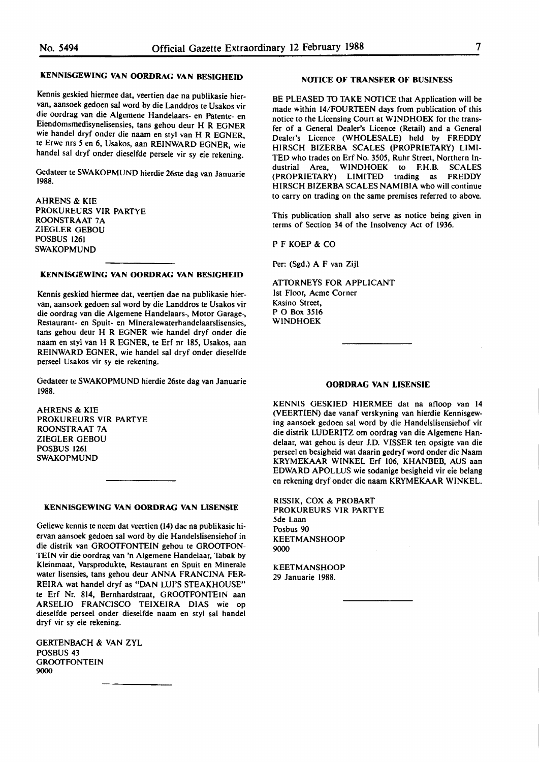#### **KENNISGEWING VAN OORDRAG VAN BESIGHEID**

Kennis geskied hiermee dat, veertien dae na publikasie hiervan, aansoek gedoen sal word by die Landdros te Usakos vir die oordrag van die Algemene Handelaars- en Patente- en Eiendomsmedisynelisensies, tans gehou deur H R EGNER wie handel dryf onder die naam en styl van H R EGNER, te Erwe nrs *5* en 6, Usakos, aan REINWARD EGNER, wie handel sal dryf onder dieselfde persele vir sy eie rekening.

Gedateer te **SWAKOPMUND** hierdie 26ste dag van Januarie 1988.

AHRENS & **KIE PROKUREURS VIR PARTYE ROONSTRAAT** 7 A ZIEGLER GEBOU POSBUS 1261 SWAKOPMUND

#### **KENNISGEWING VAN OORDRAG VAN BESIGHEID**

Kennis geskied hiermee dat, veertien dae na publikasie hiervan, aansoek gedoen sal word by die Landdros te Usakos vir die oordrag van die Algemene Handelaars-, Motor Garage-, Restaurant- en Spuit- en Mineralewaterhandelaarslisensies, tans gehou deur H R EGNER wie handel dryf onder die naam en sty! van HR EGNER, te Erf nr 185, Usakos, aan REINWARD EGNER, wie handel sal dryf onder dieselfde perseel Usakos vir sy eie rekening.

Gedateer te SWAKOPMUND hierdie 26ste dag van Januarie 1988.

AHRENS & **KIE**  PROKUREURS VIR PARTYE ROONSTRAAT 7A ZIEGLER GEBOU POSBUS 1261 SWAKOPMUND

#### **KENNISGEWING VAN OORDRAG VAN LISENSIE**

Geliewe kennis te neem dat veertien (14) dae na publikasie hiervan aansoek gedoen sal word by die Handelslisensiehof in die distrik **van GROOfFONTEIN** gehou te **GROOfFON-**TEIN vir die oordrag van 'n Algemene Handelaar, Tabak by Kleinmaat, Varsprodukte, Restaurant en Spuit en Minerale water lisensies, tans gehou deur ANNA FRANCINA FER-REIRA wat handel dryf as "DAN LUl'S STEAKHOUSE" te Erf Nr. 814, Bernhardstraat, GROOfFONTEIN aan ARSELIO FRANCISCO TEIXEIRA DIAS wie op dieselfde perseel onder dieselfde naam en sty! sal handel dryf vir sy eie rekening.

GERTENBACH & VAN ZYL POSBUS 43 **GROOTFONTEIN** 9000

#### **NOTICE OF TRANSFER OF BUSINESS**

BE PLEASED TO TAKE NOTICE that Application will be made within 14/FOURTEEN days from publication of this notice to the Licensing Court at WINDHOEK for the transfer of a General Dealer's Licence (Retail) and a General Dealer's Licence (WHOLESALE) held by FREDDY HIRSCH BIZERBA SCALES (PROPRIETARY) LIMI-TED who trades on Erf No. 3505, Ruhr Street, Northern Industrial Area, WINDHOEK to F.H.B. SCALES (PROPRIETARY) LIMITED trading as FREDDY HIRSCH BIZERBA SCALES NAMIBIA who will continue to carry on trading on the same premises referred to above.

This publication shall also serve as notice being given in terms of Section 34 of the Insolvency Act of 1936.

PF KOEP & CO

Per: **(Sgd.) A** F van Zijl

**ATIDRNEYS FOR APPLICANT**  1st Floor, Acme Corner Kasino Street, PO Box 3516 WINDHOEK

#### **OORDRAG VAN LISENSIE**

KENNIS GESKIED HIERMEE dat na afloop van 14 (VEERTIEN) dae vanaf verskyning van hierdie Kennisgewing aansoek gedoen sal word by die Handelslisensiehof vir die distrik WDERITZ om oordrag van die Algemene Handelaar, wat gehou is deur J.D. VISSER ten opsigte van die perseel en besigheid wat daarin gedryf word onder die Naam KRYMEKAAR WINKEL Erf 106, KHANBEB, AUS aan EDWARD APOLLUS wie sodanige besigheid vir eie belang en rekening dryf onder die naam KRYMEKAAR WINKEL.

**RISSIK, COX** & **PROBART**  PROKUREURS VIR PARTYE 5de Laan Posbus 90 KEETMANSHOOP 9000

**KEETMANSHOOP** 29 Januarie 1988.